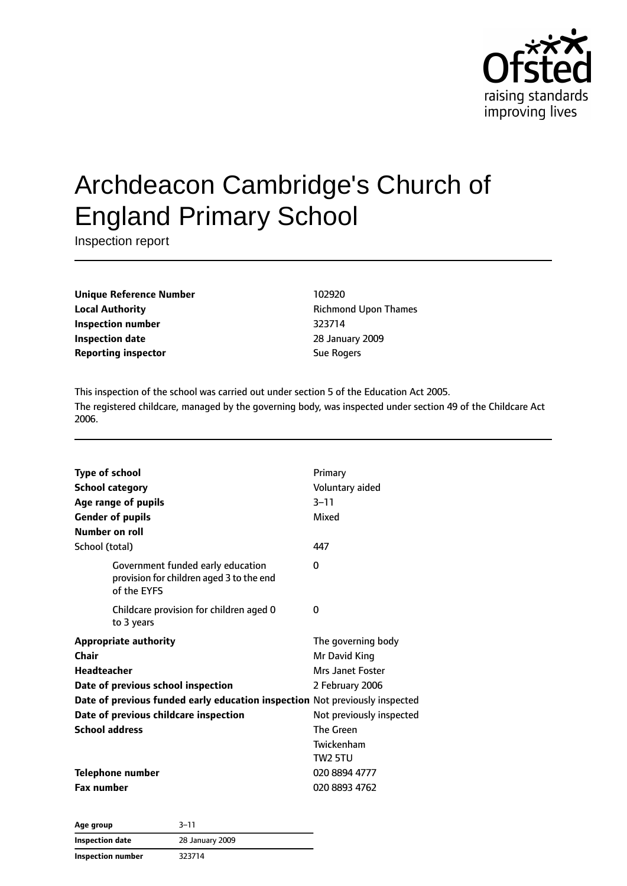

# Archdeacon Cambridge's Church of England Primary School

Inspection report

**Unique Reference Number** 102920 **Local Authority Constanting Richmond Upon Thames Inspection number** 323714 **Inspection date** 28 January 2009 **Reporting inspector** Sue Rogers

This inspection of the school was carried out under section 5 of the Education Act 2005. The registered childcare, managed by the governing body, was inspected under section 49 of the Childcare Act 2006.

| <b>Type of school</b>                                                                        | Primary                  |
|----------------------------------------------------------------------------------------------|--------------------------|
| <b>School category</b>                                                                       | Voluntary aided          |
| Age range of pupils                                                                          | $3 - 11$                 |
| <b>Gender of pupils</b>                                                                      | Mixed                    |
| Number on roll                                                                               |                          |
| School (total)                                                                               | 447                      |
| Government funded early education<br>provision for children aged 3 to the end<br>of the EYFS | 0                        |
| Childcare provision for children aged 0<br>to 3 years                                        | 0                        |
| <b>Appropriate authority</b>                                                                 | The governing body       |
| Chair                                                                                        | Mr David King            |
| Headteacher                                                                                  | Mrs Janet Foster         |
| Date of previous school inspection                                                           | 2 February 2006          |
| Date of previous funded early education inspection Not previously inspected                  |                          |
| Date of previous childcare inspection                                                        | Not previously inspected |
| <b>School address</b>                                                                        | The Green                |
|                                                                                              | Twickenham               |
|                                                                                              | <b>TW2 5TU</b>           |
| <b>Telephone number</b>                                                                      | 020 8894 4777            |
| <b>Fax number</b>                                                                            | 020 8893 4762            |

**Age group** 3–11 **Inspection date** 28 January 2009 **Inspection number** 323714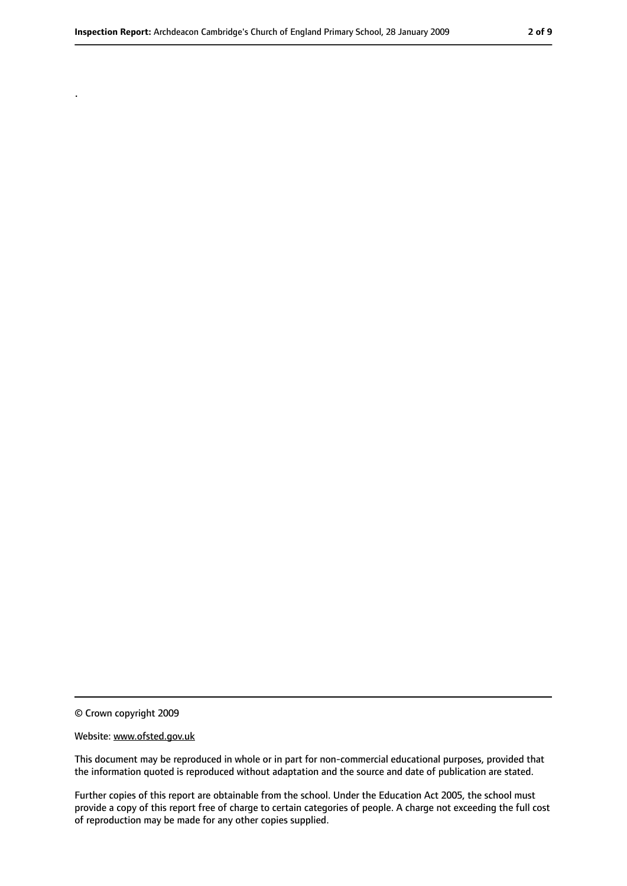© Crown copyright 2009

.

#### Website: www.ofsted.gov.uk

This document may be reproduced in whole or in part for non-commercial educational purposes, provided that the information quoted is reproduced without adaptation and the source and date of publication are stated.

Further copies of this report are obtainable from the school. Under the Education Act 2005, the school must provide a copy of this report free of charge to certain categories of people. A charge not exceeding the full cost of reproduction may be made for any other copies supplied.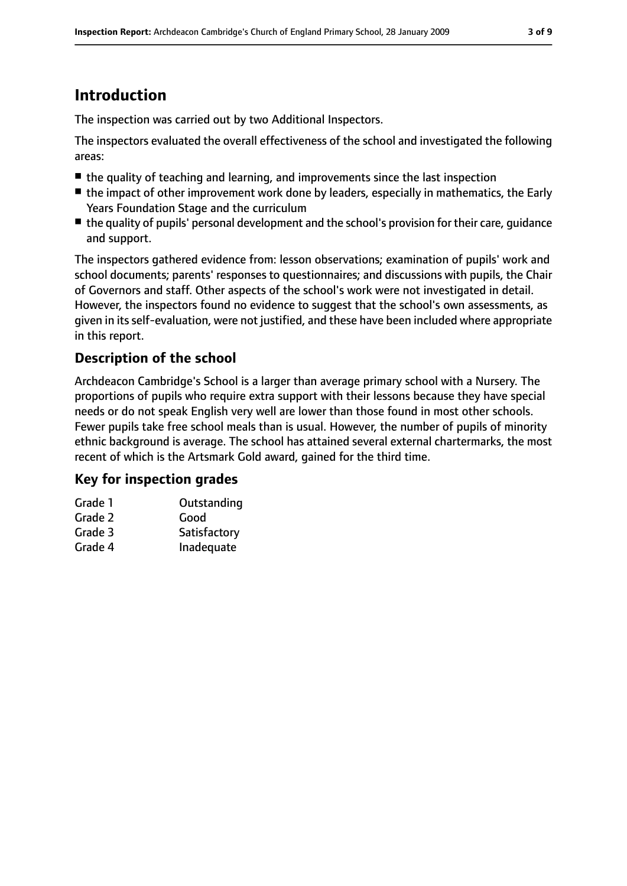## **Introduction**

The inspection was carried out by two Additional Inspectors.

The inspectors evaluated the overall effectiveness of the school and investigated the following areas:

- the quality of teaching and learning, and improvements since the last inspection
- the impact of other improvement work done by leaders, especially in mathematics, the Early Years Foundation Stage and the curriculum
- the quality of pupils' personal development and the school's provision for their care, quidance and support.

The inspectors gathered evidence from: lesson observations; examination of pupils' work and school documents; parents' responses to questionnaires; and discussions with pupils, the Chair of Governors and staff. Other aspects of the school's work were not investigated in detail. However, the inspectors found no evidence to suggest that the school's own assessments, as given in its self-evaluation, were not justified, and these have been included where appropriate in this report.

## **Description of the school**

Archdeacon Cambridge's School is a larger than average primary school with a Nursery. The proportions of pupils who require extra support with their lessons because they have special needs or do not speak English very well are lower than those found in most other schools. Fewer pupils take free school meals than is usual. However, the number of pupils of minority ethnic background is average. The school has attained several external chartermarks, the most recent of which is the Artsmark Gold award, gained for the third time.

## **Key for inspection grades**

| Grade 1 | Outstanding  |
|---------|--------------|
| Grade 2 | Good         |
| Grade 3 | Satisfactory |
| Grade 4 | Inadequate   |
|         |              |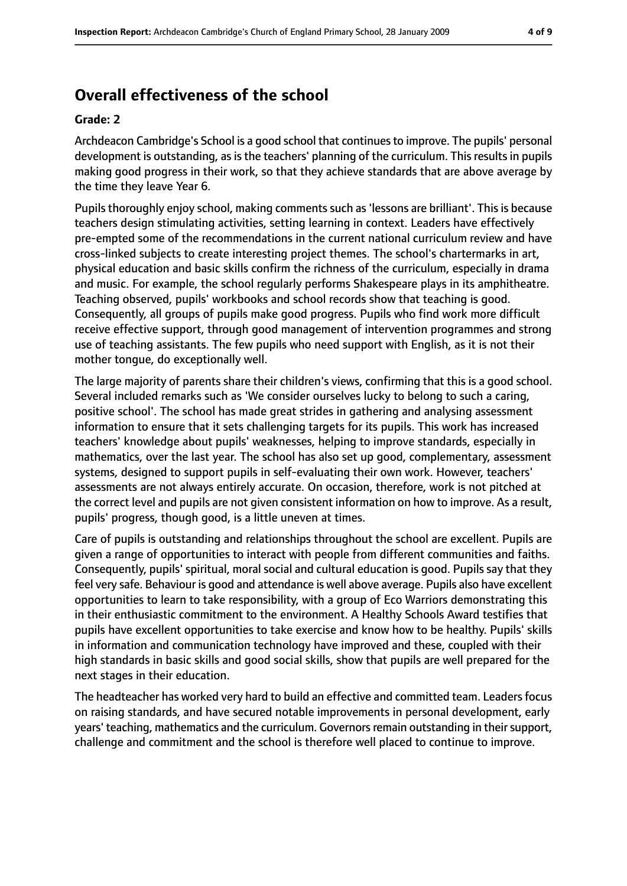## **Overall effectiveness of the school**

### **Grade: 2**

Archdeacon Cambridge's School is a good school that continuesto improve. The pupils' personal development is outstanding, as is the teachers' planning of the curriculum. This results in pupils making good progress in their work, so that they achieve standards that are above average by the time they leave Year 6.

Pupils thoroughly enjoy school, making comments such as 'lessons are brilliant'. This is because teachers design stimulating activities, setting learning in context. Leaders have effectively pre-empted some of the recommendations in the current national curriculum review and have cross-linked subjects to create interesting project themes. The school's chartermarks in art, physical education and basic skills confirm the richness of the curriculum, especially in drama and music. For example, the school regularly performs Shakespeare plays in its amphitheatre. Teaching observed, pupils' workbooks and school records show that teaching is good. Consequently, all groups of pupils make good progress. Pupils who find work more difficult receive effective support, through good management of intervention programmes and strong use of teaching assistants. The few pupils who need support with English, as it is not their mother tongue, do exceptionally well.

The large majority of parents share their children's views, confirming that this is a good school. Several included remarks such as 'We consider ourselves lucky to belong to such a caring, positive school'. The school has made great strides in gathering and analysing assessment information to ensure that it sets challenging targets for its pupils. This work has increased teachers' knowledge about pupils' weaknesses, helping to improve standards, especially in mathematics, over the last year. The school has also set up good, complementary, assessment systems, designed to support pupils in self-evaluating their own work. However, teachers' assessments are not always entirely accurate. On occasion, therefore, work is not pitched at the correct level and pupils are not given consistent information on how to improve. As a result, pupils' progress, though good, is a little uneven at times.

Care of pupils is outstanding and relationships throughout the school are excellent. Pupils are given a range of opportunities to interact with people from different communities and faiths. Consequently, pupils' spiritual, moral social and cultural education is good. Pupils say that they feel very safe. Behaviour is good and attendance is well above average. Pupils also have excellent opportunities to learn to take responsibility, with a group of Eco Warriors demonstrating this in their enthusiastic commitment to the environment. A Healthy Schools Award testifies that pupils have excellent opportunities to take exercise and know how to be healthy. Pupils' skills in information and communication technology have improved and these, coupled with their high standards in basic skills and good social skills, show that pupils are well prepared for the next stages in their education.

The headteacher has worked very hard to build an effective and committed team. Leaders focus on raising standards, and have secured notable improvements in personal development, early years' teaching, mathematics and the curriculum. Governors remain outstanding in their support, challenge and commitment and the school is therefore well placed to continue to improve.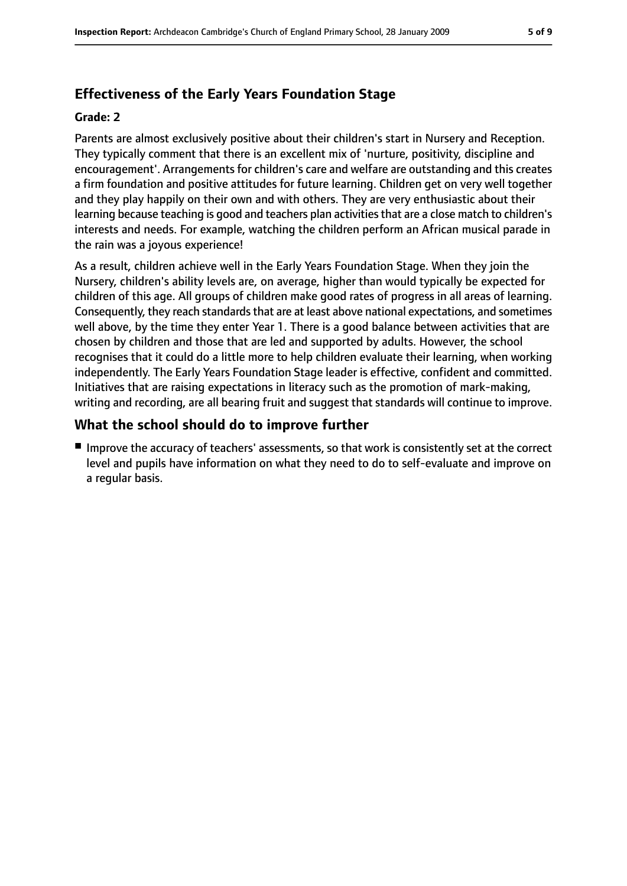## **Effectiveness of the Early Years Foundation Stage**

#### **Grade: 2**

Parents are almost exclusively positive about their children's start in Nursery and Reception. They typically comment that there is an excellent mix of 'nurture, positivity, discipline and encouragement'. Arrangements for children's care and welfare are outstanding and this creates a firm foundation and positive attitudes for future learning. Children get on very well together and they play happily on their own and with others. They are very enthusiastic about their learning because teaching is good and teachers plan activities that are a close match to children's interests and needs. For example, watching the children perform an African musical parade in the rain was a joyous experience!

As a result, children achieve well in the Early Years Foundation Stage. When they join the Nursery, children's ability levels are, on average, higher than would typically be expected for children of this age. All groups of children make good rates of progress in all areas of learning. Consequently, they reach standards that are at least above national expectations, and sometimes well above, by the time they enter Year 1. There is a good balance between activities that are chosen by children and those that are led and supported by adults. However, the school recognises that it could do a little more to help children evaluate their learning, when working independently. The Early Years Foundation Stage leader is effective, confident and committed. Initiatives that are raising expectations in literacy such as the promotion of mark-making, writing and recording, are all bearing fruit and suggest that standards will continue to improve.

## **What the school should do to improve further**

■ Improve the accuracy of teachers' assessments, so that work is consistently set at the correct level and pupils have information on what they need to do to self-evaluate and improve on a regular basis.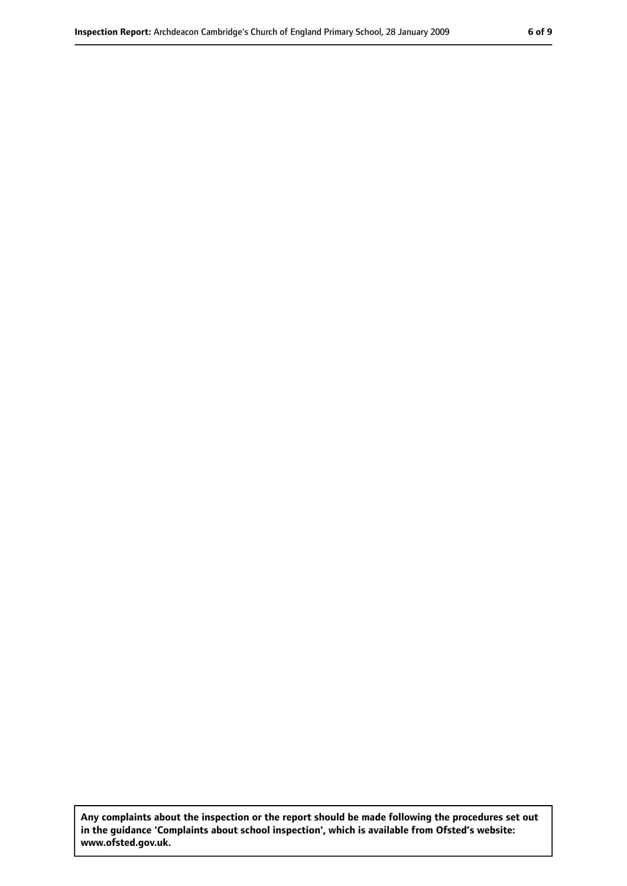**Any complaints about the inspection or the report should be made following the procedures set out in the guidance 'Complaints about school inspection', which is available from Ofsted's website: www.ofsted.gov.uk.**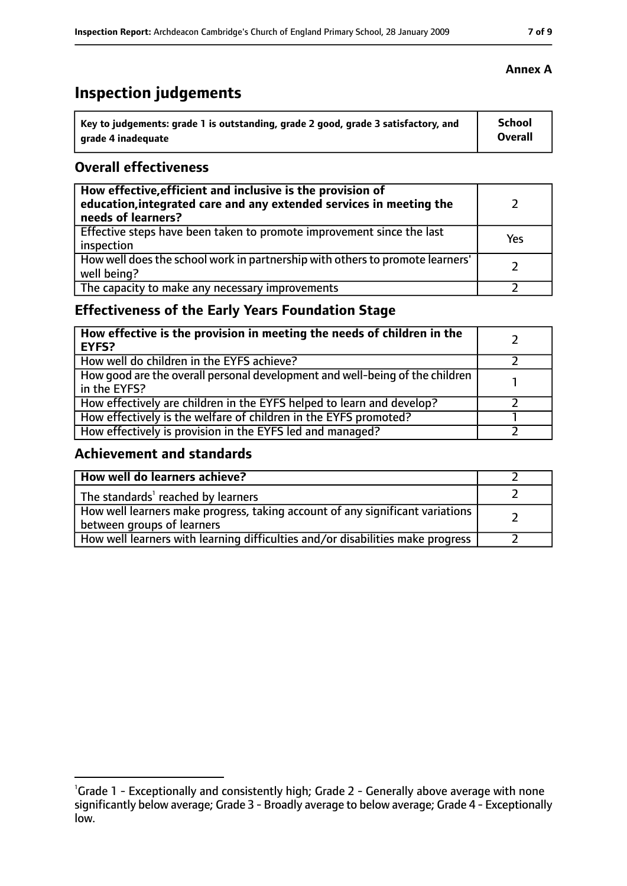## **Inspection judgements**

| Key to judgements: grade 1 is outstanding, grade 2 good, grade 3 satisfactory, and | <b>School</b>  |
|------------------------------------------------------------------------------------|----------------|
| arade 4 inadequate                                                                 | <b>Overall</b> |

## **Overall effectiveness**

| How effective, efficient and inclusive is the provision of<br>education, integrated care and any extended services in meeting the<br>needs of learners? |     |
|---------------------------------------------------------------------------------------------------------------------------------------------------------|-----|
| Effective steps have been taken to promote improvement since the last<br>inspection                                                                     | Yes |
| How well does the school work in partnership with others to promote learners'<br>well being?                                                            |     |
| The capacity to make any necessary improvements                                                                                                         |     |

## **Effectiveness of the Early Years Foundation Stage**

| How effective is the provision in meeting the needs of children in the<br><b>EYFS?</b>       |  |
|----------------------------------------------------------------------------------------------|--|
| How well do children in the EYFS achieve?                                                    |  |
| How good are the overall personal development and well-being of the children<br>in the EYFS? |  |
| How effectively are children in the EYFS helped to learn and develop?                        |  |
| How effectively is the welfare of children in the EYFS promoted?                             |  |
| How effectively is provision in the EYFS led and managed?                                    |  |

## **Achievement and standards**

| How well do learners achieve?                                                                               |  |
|-------------------------------------------------------------------------------------------------------------|--|
| The standards <sup>1</sup> reached by learners                                                              |  |
| How well learners make progress, taking account of any significant variations<br>between groups of learners |  |
| How well learners with learning difficulties and/or disabilities make progress                              |  |

## **Annex A**

<sup>&</sup>lt;sup>1</sup>Grade 1 - Exceptionally and consistently high; Grade 2 - Generally above average with none significantly below average; Grade 3 - Broadly average to below average; Grade 4 - Exceptionally low.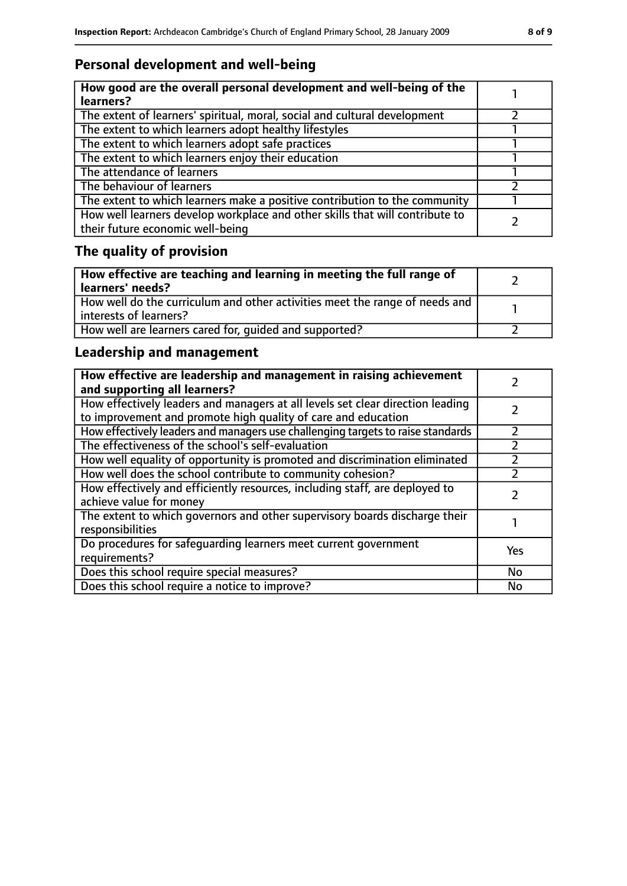## **Personal development and well-being**

| How good are the overall personal development and well-being of the<br>learners?                                 |  |
|------------------------------------------------------------------------------------------------------------------|--|
| The extent of learners' spiritual, moral, social and cultural development                                        |  |
| The extent to which learners adopt healthy lifestyles                                                            |  |
| The extent to which learners adopt safe practices                                                                |  |
| The extent to which learners enjoy their education                                                               |  |
| The attendance of learners                                                                                       |  |
| The behaviour of learners                                                                                        |  |
| The extent to which learners make a positive contribution to the community                                       |  |
| How well learners develop workplace and other skills that will contribute to<br>their future economic well-being |  |

## **The quality of provision**

| How effective are teaching and learning in meeting the full range of<br>learners' needs?              |  |
|-------------------------------------------------------------------------------------------------------|--|
| How well do the curriculum and other activities meet the range of needs and<br>interests of learners? |  |
| How well are learners cared for, quided and supported?                                                |  |

## **Leadership and management**

| How effective are leadership and management in raising achievement<br>and supporting all learners?                                              |     |
|-------------------------------------------------------------------------------------------------------------------------------------------------|-----|
| How effectively leaders and managers at all levels set clear direction leading<br>to improvement and promote high quality of care and education |     |
| How effectively leaders and managers use challenging targets to raise standards                                                                 |     |
| The effectiveness of the school's self-evaluation                                                                                               |     |
| How well equality of opportunity is promoted and discrimination eliminated                                                                      |     |
| How well does the school contribute to community cohesion?                                                                                      |     |
| How effectively and efficiently resources, including staff, are deployed to<br>achieve value for money                                          |     |
| The extent to which governors and other supervisory boards discharge their<br>responsibilities                                                  |     |
| Do procedures for safeguarding learners meet current government<br>requirements?                                                                | Yes |
| Does this school require special measures?                                                                                                      | No  |
| Does this school require a notice to improve?                                                                                                   | No  |